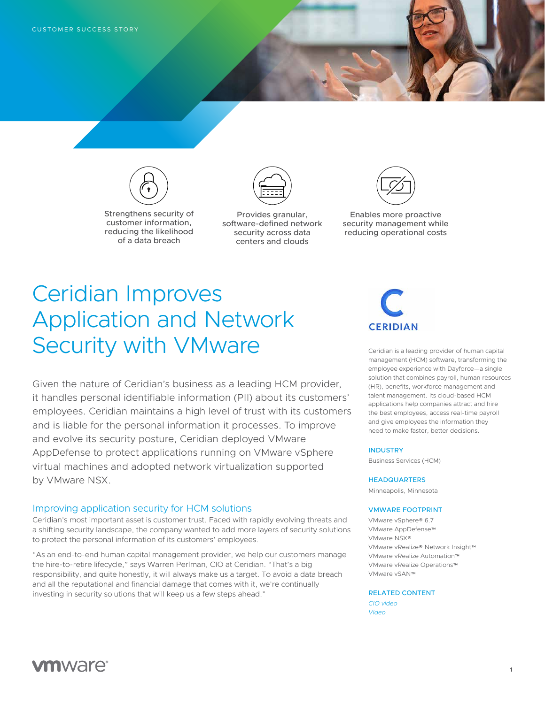

Strengthens security of customer information, reducing the likelihood of a data breach



Provides granular, software-defined network security across data centers and clouds



Enables more proactive security management while reducing operational costs

# Ceridian Improves Application and Network Security with VMware

Given the nature of Ceridian's business as a leading HCM provider, it handles personal identifiable information (PII) about its customers' employees. Ceridian maintains a high level of trust with its customers and is liable for the personal information it processes. To improve and evolve its security posture, Ceridian deployed VMware AppDefense to protect applications running on VMware vSphere virtual machines and adopted network virtualization supported by VMware NSX.

### Improving application security for HCM solutions

Ceridian's most important asset is customer trust. Faced with rapidly evolving threats and a shifting security landscape, the company wanted to add more layers of security solutions to protect the personal information of its customers' employees.

"As an end-to-end human capital management provider, we help our customers manage the hire-to-retire lifecycle," says Warren Perlman, CIO at Ceridian. "That's a big responsibility, and quite honestly, it will always make us a target. To avoid a data breach and all the reputational and financial damage that comes with it, we're continually investing in security solutions that will keep us a few steps ahead."



Ceridian is a leading provider of human capital management (HCM) software, transforming the employee experience with Dayforce—a single solution that combines payroll, human resources (HR), benefits, workforce management and talent management. Its cloud-based HCM applications help companies attract and hire the best employees, access real-time payroll and give employees the information they need to make faster, better decisions.

### INDUSTRY

Business Services (HCM)

### **HEADQUARTERS**

Minneapolis, Minnesota

#### VMWARE FOOTPRINT

VMware vSphere® 6.7 VMware AppDefense™ VMware NSX® VMware vRealize® Network Insight™ VMware vRealize Automation™ VMware vRealize Operations™ VMware vSAN™

#### RELATED CONTENT

*[CIO video](https://f1.media.brightcove.com/12/1534342432001/1534342432001_5326708198001_5326691987001.mp4?pubId=1534342432001) [Video](https://www.youtube.com/watch?v=mI3M0WWJw0I&feature=youtu.be)*

# **vm**ware<sup>®</sup>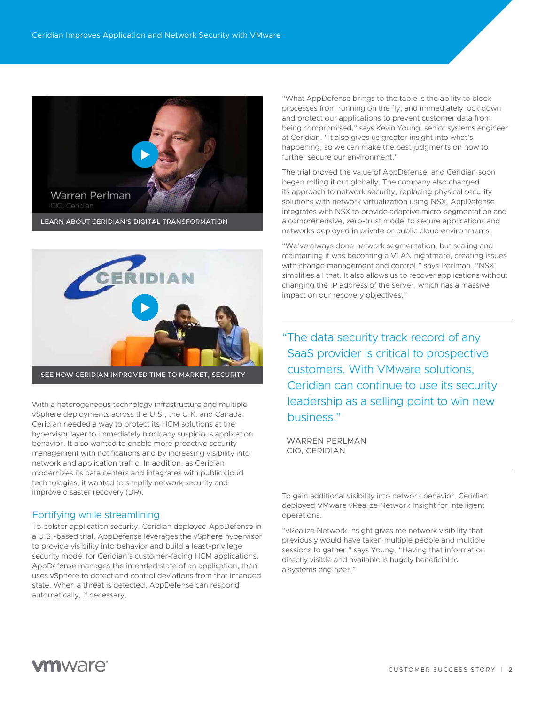



With a heterogeneous technology infrastructure and multiple vSphere deployments across the U.S., the U.K. and Canada, Ceridian needed a way to protect its HCM solutions at the hypervisor layer to immediately block any suspicious application behavior. It also wanted to enable more proactive security management with notifications and by increasing visibility into network and application traffic. In addition, as Ceridian modernizes its data centers and integrates with public cloud technologies, it wanted to simplify network security and improve disaster recovery (DR).

# Fortifying while streamlining

To bolster application security, Ceridian deployed AppDefense in a U.S.-based trial. AppDefense leverages the vSphere hypervisor to provide visibility into behavior and build a least-privilege security model for Ceridian's customer-facing HCM applications. AppDefense manages the intended state of an application, then uses vSphere to detect and control deviations from that intended state. When a threat is detected, AppDefense can respond automatically, if necessary.

"What AppDefense brings to the table is the ability to block processes from running on the fly, and immediately lock down and protect our applications to prevent customer data from being compromised," says Kevin Young, senior systems engineer at Ceridian. "It also gives us greater insight into what's happening, so we can make the best judgments on how to further secure our environment."

The trial proved the value of AppDefense, and Ceridian soon began rolling it out globally. The company also changed its approach to network security, replacing physical security solutions with network virtualization using NSX. AppDefense integrates with NSX to provide adaptive micro-segmentation and a comprehensive, zero-trust model to secure applications and networks deployed in private or public cloud environments.

"We've always done network segmentation, but scaling and maintaining it was becoming a VLAN nightmare, creating issues with change management and control," says Perlman. "NSX simplifies all that. It also allows us to recover applications without changing the IP address of the server, which has a massive impact on our recovery objectives."

"The data security track record of any SaaS provider is critical to prospective customers. With VMware solutions, Ceridian can continue to use its security leadership as a selling point to win new business."

WARREN PERLMAN CIO, CERIDIAN

To gain additional visibility into network behavior, Ceridian deployed VMware vRealize Network Insight for intelligent operations.

"vRealize Network Insight gives me network visibility that previously would have taken multiple people and multiple sessions to gather," says Young. "Having that information directly visible and available is hugely beneficial to a systems engineer."

# *m*nware<sup>®</sup>